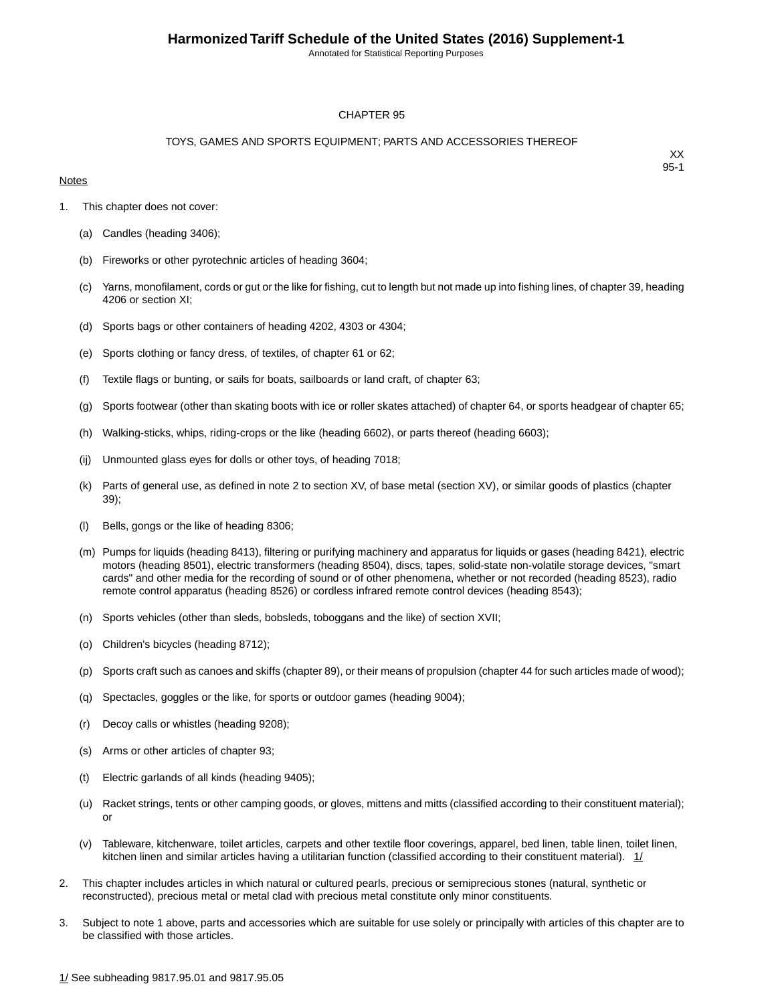Annotated for Statistical Reporting Purposes

#### CHAPTER 95

#### TOYS, GAMES AND SPORTS EQUIPMENT; PARTS AND ACCESSORIES THEREOF

#### **Notes**

- 1. This chapter does not cover:
	- (a) Candles (heading 3406);
	- (b) Fireworks or other pyrotechnic articles of heading 3604;
	- (c) Yarns, monofilament, cords or gut or the like for fishing, cut to length but not made up into fishing lines, of chapter 39, heading 4206 or section XI;
	- (d) Sports bags or other containers of heading 4202, 4303 or 4304;
	- (e) Sports clothing or fancy dress, of textiles, of chapter 61 or 62;
	- (f) Textile flags or bunting, or sails for boats, sailboards or land craft, of chapter 63;
	- (g) Sports footwear (other than skating boots with ice or roller skates attached) of chapter 64, or sports headgear of chapter 65;
	- (h) Walking-sticks, whips, riding-crops or the like (heading 6602), or parts thereof (heading 6603);
	- (ij) Unmounted glass eyes for dolls or other toys, of heading 7018;
	- (k) Parts of general use, as defined in note 2 to section XV, of base metal (section XV), or similar goods of plastics (chapter 39);
	- (l) Bells, gongs or the like of heading 8306;
	- (m) Pumps for liquids (heading 8413), filtering or purifying machinery and apparatus for liquids or gases (heading 8421), electric motors (heading 8501), electric transformers (heading 8504), discs, tapes, solid-state non-volatile storage devices, "smart cards" and other media for the recording of sound or of other phenomena, whether or not recorded (heading 8523), radio remote control apparatus (heading 8526) or cordless infrared remote control devices (heading 8543);
	- (n) Sports vehicles (other than sleds, bobsleds, toboggans and the like) of section XVII;
	- (o) Children's bicycles (heading 8712);
	- (p) Sports craft such as canoes and skiffs (chapter 89), or their means of propulsion (chapter 44 for such articles made of wood);
	- (q) Spectacles, goggles or the like, for sports or outdoor games (heading 9004);
	- (r) Decoy calls or whistles (heading 9208);
	- (s) Arms or other articles of chapter 93;
	- (t) Electric garlands of all kinds (heading 9405);
	- (u) Racket strings, tents or other camping goods, or gloves, mittens and mitts (classified according to their constituent material); or
	- (v) Tableware, kitchenware, toilet articles, carpets and other textile floor coverings, apparel, bed linen, table linen, toilet linen, kitchen linen and similar articles having a utilitarian function (classified according to their constituent material).  $1/$
- 2. This chapter includes articles in which natural or cultured pearls, precious or semiprecious stones (natural, synthetic or reconstructed), precious metal or metal clad with precious metal constitute only minor constituents.
- 3. Subject to note 1 above, parts and accessories which are suitable for use solely or principally with articles of this chapter are to be classified with those articles.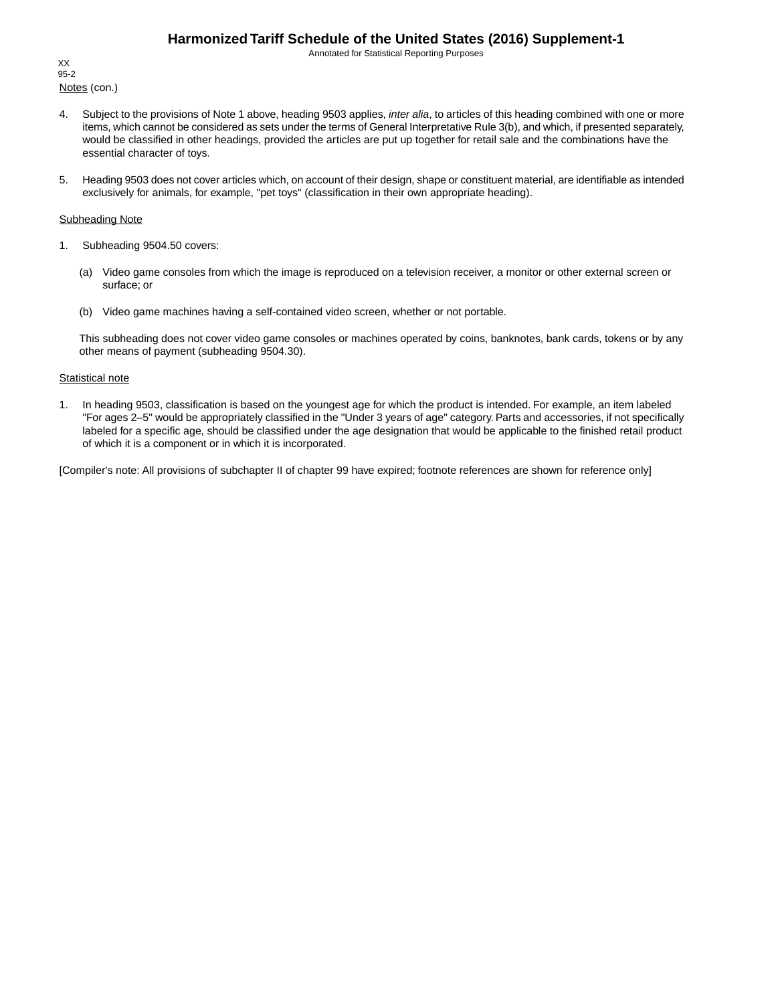Annotated for Statistical Reporting Purposes

Notes (con.) XX 95-2

- 4. Subject to the provisions of Note 1 above, heading 9503 applies, *inter alia*, to articles of this heading combined with one or more items, which cannot be considered as sets under the terms of General Interpretative Rule 3(b), and which, if presented separately, would be classified in other headings, provided the articles are put up together for retail sale and the combinations have the essential character of toys.
- 5. Heading 9503 does not cover articles which, on account of their design, shape or constituent material, are identifiable as intended exclusively for animals, for example, "pet toys" (classification in their own appropriate heading).

#### Subheading Note

- 1. Subheading 9504.50 covers:
	- (a) Video game consoles from which the image is reproduced on a television receiver, a monitor or other external screen or surface; or
	- (b) Video game machines having a self-contained video screen, whether or not portable.

This subheading does not cover video game consoles or machines operated by coins, banknotes, bank cards, tokens or by any other means of payment (subheading 9504.30).

#### **Statistical note**

1. In heading 9503, classification is based on the youngest age for which the product is intended. For example, an item labeled "For ages 2–5" would be appropriately classified in the "Under 3 years of age" category. Parts and accessories, if not specifically labeled for a specific age, should be classified under the age designation that would be applicable to the finished retail product of which it is a component or in which it is incorporated.

[Compiler's note: All provisions of subchapter II of chapter 99 have expired; footnote references are shown for reference only]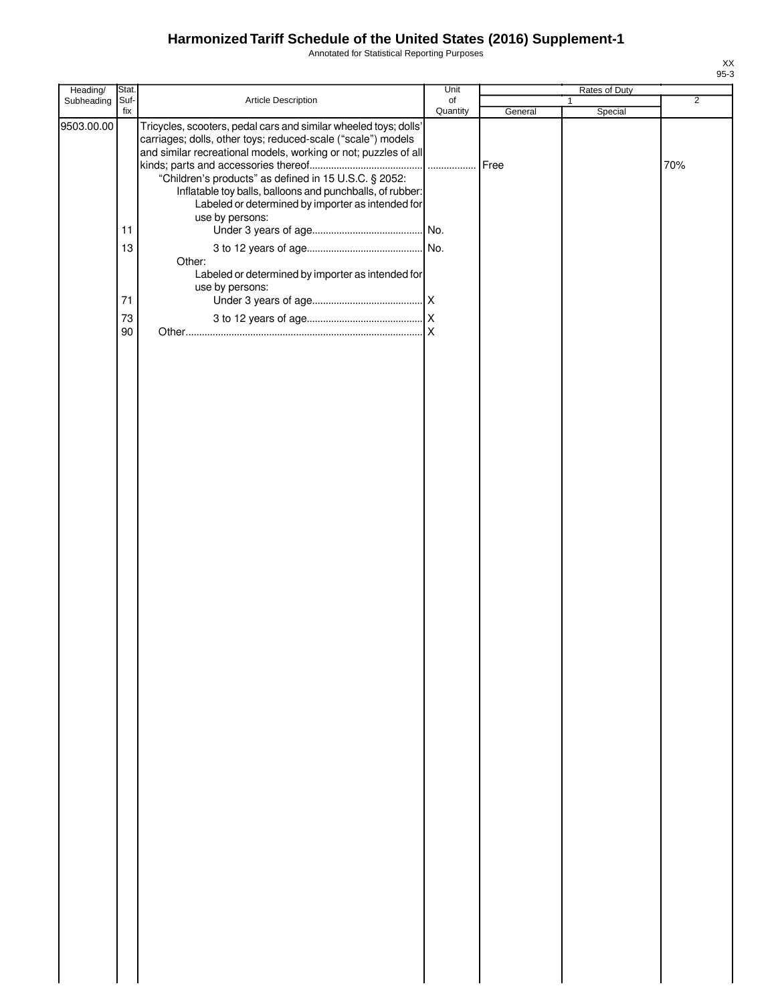Annotated for Statistical Reporting Purposes

| Heading/   | Stat.       |                                                                                                                                                                                                                                                                                                                                                                                | Unit           |         | Rates of Duty           |                |
|------------|-------------|--------------------------------------------------------------------------------------------------------------------------------------------------------------------------------------------------------------------------------------------------------------------------------------------------------------------------------------------------------------------------------|----------------|---------|-------------------------|----------------|
| Subheading | Suf-<br>fix | Article Description                                                                                                                                                                                                                                                                                                                                                            | of<br>Quantity | General | $\mathbf{1}$<br>Special | $\overline{2}$ |
| 9503.00.00 |             | Tricycles, scooters, pedal cars and similar wheeled toys; dolls'<br>carriages; dolls, other toys; reduced-scale ("scale") models<br>and similar recreational models, working or not; puzzles of all<br>"Children's products" as defined in 15 U.S.C. § 2052:<br>Inflatable toy balls, balloons and punchballs, of rubber:<br>Labeled or determined by importer as intended for |                |         |                         | 70%            |
|            | 11          | use by persons:                                                                                                                                                                                                                                                                                                                                                                |                |         |                         |                |
|            | 13          |                                                                                                                                                                                                                                                                                                                                                                                |                |         |                         |                |
|            |             | Other:<br>Labeled or determined by importer as intended for<br>use by persons:                                                                                                                                                                                                                                                                                                 |                |         |                         |                |
|            | 71          |                                                                                                                                                                                                                                                                                                                                                                                |                |         |                         |                |
|            | 73          |                                                                                                                                                                                                                                                                                                                                                                                |                |         |                         |                |
|            | 90          |                                                                                                                                                                                                                                                                                                                                                                                |                |         |                         |                |
|            |             |                                                                                                                                                                                                                                                                                                                                                                                |                |         |                         |                |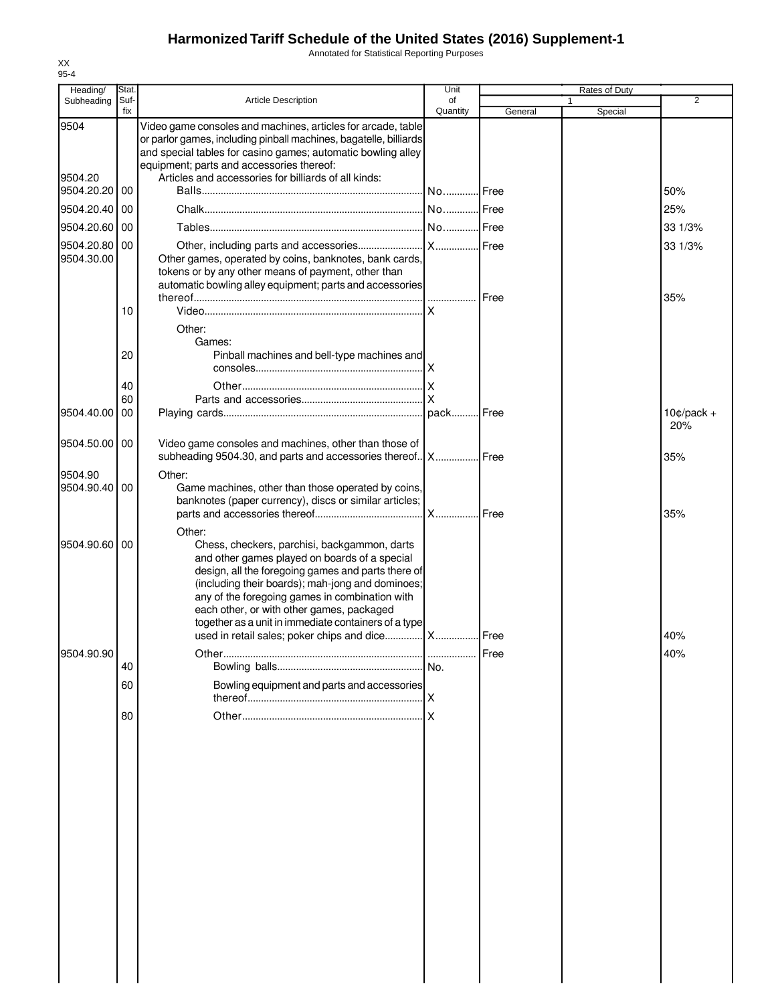Annotated for Statistical Reporting Purposes

|                          | Stat |                                                                                                                                                                                                                                                                                                                                                                                                                       | Unit     |         | Rates of Duty |                |
|--------------------------|------|-----------------------------------------------------------------------------------------------------------------------------------------------------------------------------------------------------------------------------------------------------------------------------------------------------------------------------------------------------------------------------------------------------------------------|----------|---------|---------------|----------------|
| Heading/<br>Subheading   | Suf  | <b>Article Description</b>                                                                                                                                                                                                                                                                                                                                                                                            | of       |         |               | $\overline{2}$ |
|                          | fix  |                                                                                                                                                                                                                                                                                                                                                                                                                       | Quantity | General | Special       |                |
| 9504<br>9504.20          |      | Video game consoles and machines, articles for arcade, table<br>or parlor games, including pinball machines, bagatelle, billiards<br>and special tables for casino games; automatic bowling alley<br>equipment; parts and accessories thereof:<br>Articles and accessories for billiards of all kinds:                                                                                                                |          |         |               |                |
| 9504.20.20               | 00   |                                                                                                                                                                                                                                                                                                                                                                                                                       | NoIFree  |         |               | 50%            |
| 9504.20.40               | 00   |                                                                                                                                                                                                                                                                                                                                                                                                                       |          |         |               | 25%            |
| 9504.20.60               | 00   |                                                                                                                                                                                                                                                                                                                                                                                                                       |          |         |               | 33 1/3%        |
|                          |      |                                                                                                                                                                                                                                                                                                                                                                                                                       |          |         |               |                |
| 9504.20.80<br>9504.30.00 | 00   | Other games, operated by coins, banknotes, bank cards,<br>tokens or by any other means of payment, other than<br>automatic bowling alley equipment; parts and accessories                                                                                                                                                                                                                                             |          |         |               | 33 1/3%<br>35% |
|                          | 10   |                                                                                                                                                                                                                                                                                                                                                                                                                       |          |         |               |                |
|                          |      | Other:<br>Games:                                                                                                                                                                                                                                                                                                                                                                                                      |          |         |               |                |
|                          | 20   | Pinball machines and bell-type machines and                                                                                                                                                                                                                                                                                                                                                                           |          |         |               |                |
|                          | 40   |                                                                                                                                                                                                                                                                                                                                                                                                                       |          |         |               |                |
|                          | 60   |                                                                                                                                                                                                                                                                                                                                                                                                                       |          |         |               |                |
| 9504.40.00               | 00   |                                                                                                                                                                                                                                                                                                                                                                                                                       |          |         |               | $10¢/pack +$   |
| 9504.50.00 00            |      | Video game consoles and machines, other than those of<br>subheading 9504.30, and parts and accessories thereof   X   Free                                                                                                                                                                                                                                                                                             |          |         |               | 20%<br>35%     |
|                          |      |                                                                                                                                                                                                                                                                                                                                                                                                                       |          |         |               |                |
| 9504.90<br>9504.90.40 00 |      | Other:<br>Game machines, other than those operated by coins,<br>banknotes (paper currency), discs or similar articles;                                                                                                                                                                                                                                                                                                |          |         |               | 35%            |
|                          |      | Other:                                                                                                                                                                                                                                                                                                                                                                                                                |          |         |               |                |
| 9504.90.60 00            |      | Chess, checkers, parchisi, backgammon, darts<br>and other games played on boards of a special<br>design, all the foregoing games and parts there of<br>(including their boards); mah-jong and dominoes;<br>any of the foregoing games in combination with<br>each other, or with other games, packaged<br>together as a unit in immediate containers of a type<br>used in retail sales; poker chips and dice  X  Free |          |         |               | 40%            |
| 9504.90.90               |      |                                                                                                                                                                                                                                                                                                                                                                                                                       |          | Free    |               | 40%            |
|                          | 40   |                                                                                                                                                                                                                                                                                                                                                                                                                       |          |         |               |                |
|                          | 60   | Bowling equipment and parts and accessories                                                                                                                                                                                                                                                                                                                                                                           |          |         |               |                |
|                          |      |                                                                                                                                                                                                                                                                                                                                                                                                                       |          |         |               |                |
|                          | 80   |                                                                                                                                                                                                                                                                                                                                                                                                                       |          |         |               |                |
|                          |      |                                                                                                                                                                                                                                                                                                                                                                                                                       |          |         |               |                |
|                          |      |                                                                                                                                                                                                                                                                                                                                                                                                                       |          |         |               |                |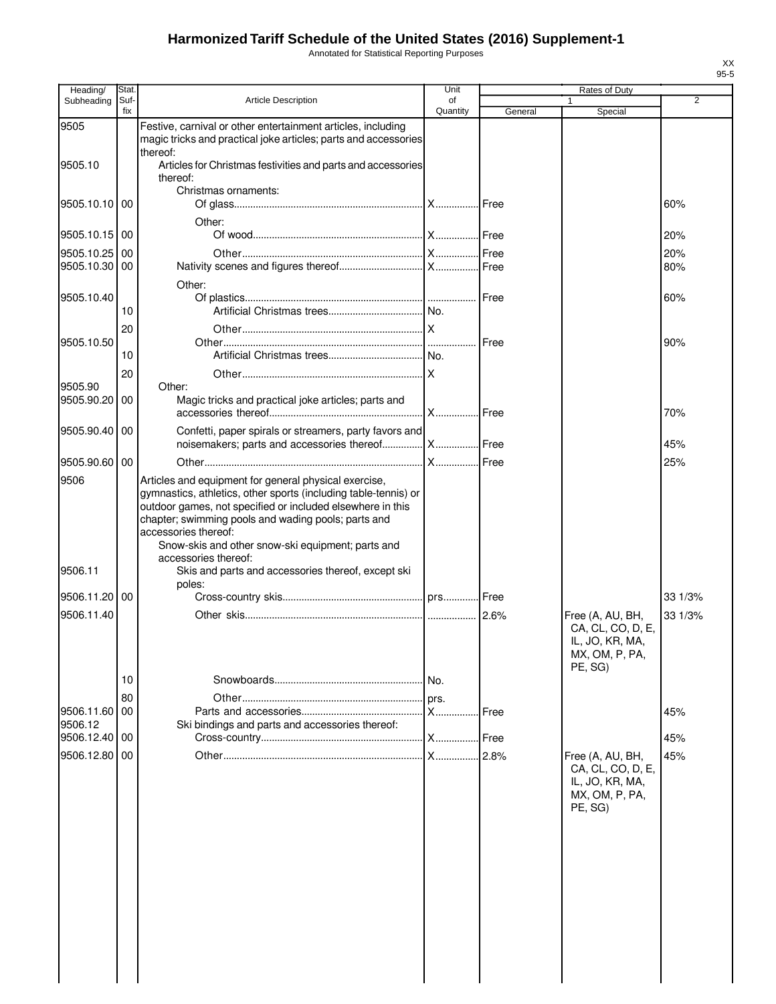Annotated for Statistical Reporting Purposes

| Heading/                       | Stat.       |                                                                                                                                                                                                                                                                                                                            | Unit           |         | Rates of Duty                                                                         |                |
|--------------------------------|-------------|----------------------------------------------------------------------------------------------------------------------------------------------------------------------------------------------------------------------------------------------------------------------------------------------------------------------------|----------------|---------|---------------------------------------------------------------------------------------|----------------|
| Subheading                     | Suf-<br>fix | <b>Article Description</b>                                                                                                                                                                                                                                                                                                 | of<br>Quantity | General | $\mathbf{1}$<br>Special                                                               | $\overline{2}$ |
| 9505                           |             | Festive, carnival or other entertainment articles, including<br>magic tricks and practical joke articles; parts and accessories                                                                                                                                                                                            |                |         |                                                                                       |                |
| 9505.10                        |             | thereof:<br>Articles for Christmas festivities and parts and accessories<br>thereof:                                                                                                                                                                                                                                       |                |         |                                                                                       |                |
| 9505.10.10                     | l 00        | Christmas ornaments:                                                                                                                                                                                                                                                                                                       |                |         |                                                                                       | 60%            |
|                                |             | Other:                                                                                                                                                                                                                                                                                                                     |                |         |                                                                                       |                |
| 9505.10.15 00                  |             |                                                                                                                                                                                                                                                                                                                            |                |         |                                                                                       | 20%            |
| 9505.10.25 00<br>9505.10.30 00 |             |                                                                                                                                                                                                                                                                                                                            |                |         |                                                                                       | 20%<br>80%     |
|                                |             | Other:                                                                                                                                                                                                                                                                                                                     |                |         |                                                                                       |                |
| 9505.10.40                     | 10          |                                                                                                                                                                                                                                                                                                                            |                |         |                                                                                       | 60%            |
|                                | 20          |                                                                                                                                                                                                                                                                                                                            |                |         |                                                                                       |                |
| 9505.10.50                     |             |                                                                                                                                                                                                                                                                                                                            |                | Free    |                                                                                       | 90%            |
|                                | 10          |                                                                                                                                                                                                                                                                                                                            |                |         |                                                                                       |                |
|                                | 20          |                                                                                                                                                                                                                                                                                                                            |                |         |                                                                                       |                |
| 9505.90<br>9505.90.20 00       |             | Other:<br>Magic tricks and practical joke articles; parts and                                                                                                                                                                                                                                                              |                |         |                                                                                       |                |
|                                |             |                                                                                                                                                                                                                                                                                                                            |                | I Free  |                                                                                       | 70%            |
| 9505.90.40 00                  |             | Confetti, paper spirals or streamers, party favors and<br>noisemakers; parts and accessories thereof  X  Free                                                                                                                                                                                                              |                |         |                                                                                       | 45%            |
| 9505.90.60 00                  |             |                                                                                                                                                                                                                                                                                                                            |                |         |                                                                                       | 25%            |
| 9506                           |             | Articles and equipment for general physical exercise,<br>gymnastics, athletics, other sports (including table-tennis) or<br>outdoor games, not specified or included elsewhere in this<br>chapter; swimming pools and wading pools; parts and<br>accessories thereof:<br>Snow-skis and other snow-ski equipment; parts and |                |         |                                                                                       |                |
| 9506.11                        |             | accessories thereof:<br>Skis and parts and accessories thereof, except ski<br>poles:                                                                                                                                                                                                                                       |                |         |                                                                                       |                |
| 9506.11.20 00                  |             |                                                                                                                                                                                                                                                                                                                            |                |         |                                                                                       | 33 1/3%        |
| 9506.11.40                     |             |                                                                                                                                                                                                                                                                                                                            |                | 2.6%    | Free (A, AU, BH,<br>CA, CL, CO, D, E,<br>IL, JO, KR, MA,<br>MX, OM, P, PA,<br>PE. SG) | 33 1/3%        |
|                                | 10          |                                                                                                                                                                                                                                                                                                                            |                |         |                                                                                       |                |
|                                | 80          |                                                                                                                                                                                                                                                                                                                            | prs.           |         |                                                                                       |                |
| 9506.11.60 00<br>9506.12       |             | Ski bindings and parts and accessories thereof:                                                                                                                                                                                                                                                                            | X              | Free    |                                                                                       | 45%            |
| 9506.12.40 00                  |             |                                                                                                                                                                                                                                                                                                                            |                | Free    |                                                                                       | 45%            |
| 9506.12.80                     | l 00        |                                                                                                                                                                                                                                                                                                                            |                | 2.8%    | Free (A, AU, BH,<br>CA, CL, CO, D, E,<br>IL, JO, KR, MA,<br>MX, OM, P, PA,<br>PE, SG) | 45%            |
|                                |             |                                                                                                                                                                                                                                                                                                                            |                |         |                                                                                       |                |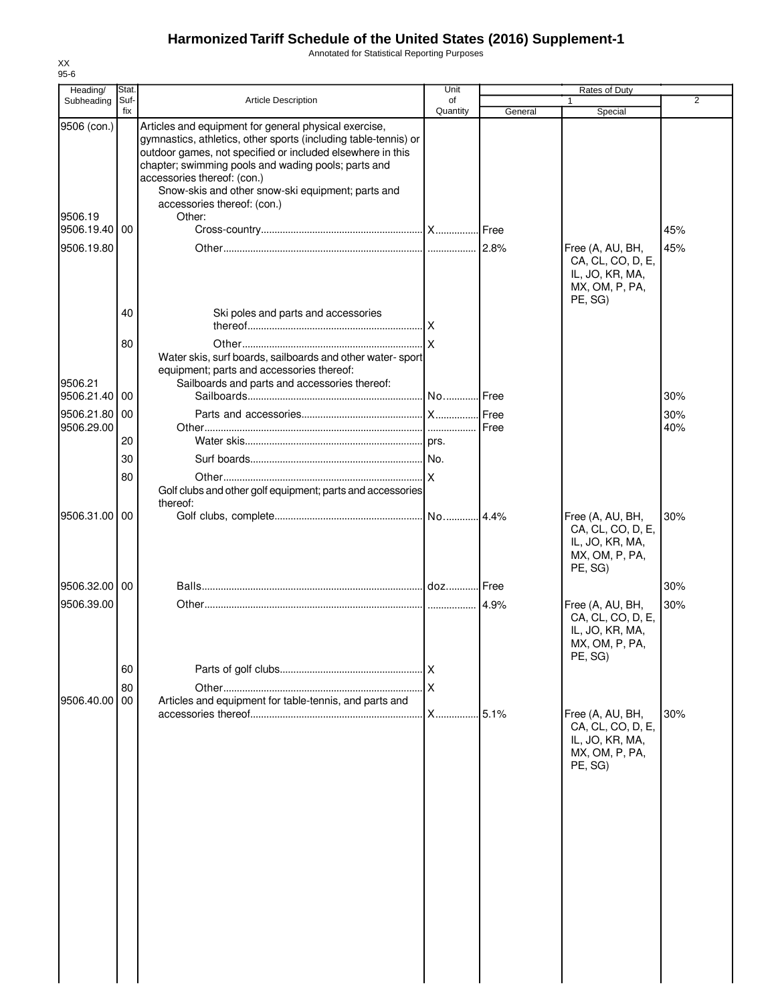Annotated for Statistical Reporting Purposes

| Heading/                                | Stat.       |                                                                                                                                                                                                                                                                                                                                                                            | Unit                    |         | Rates of Duty                                                                         |                |
|-----------------------------------------|-------------|----------------------------------------------------------------------------------------------------------------------------------------------------------------------------------------------------------------------------------------------------------------------------------------------------------------------------------------------------------------------------|-------------------------|---------|---------------------------------------------------------------------------------------|----------------|
| Subheading                              | Suf-<br>fix | <b>Article Description</b>                                                                                                                                                                                                                                                                                                                                                 | of<br>Quantity          | General | Special                                                                               | $\overline{2}$ |
| 9506 (con.)<br>9506.19<br>9506.19.40 00 |             | Articles and equipment for general physical exercise,<br>gymnastics, athletics, other sports (including table-tennis) or<br>outdoor games, not specified or included elsewhere in this<br>chapter; swimming pools and wading pools; parts and<br>accessories thereof: (con.)<br>Snow-skis and other snow-ski equipment; parts and<br>accessories thereof: (con.)<br>Other: |                         |         |                                                                                       | 45%            |
| 9506.19.80                              |             |                                                                                                                                                                                                                                                                                                                                                                            |                         |         | Free (A, AU, BH,                                                                      | 45%            |
|                                         | 40          | Ski poles and parts and accessories                                                                                                                                                                                                                                                                                                                                        |                         |         | CA, CL, CO, D, E,<br>IL, JO, KR, MA,<br>MX, OM, P, PA,<br>PE, SG)                     |                |
|                                         | 80          | Water skis, surf boards, sailboards and other water-sport                                                                                                                                                                                                                                                                                                                  |                         |         |                                                                                       |                |
| 9506.21<br>9506.21.40                   | 00          | equipment; parts and accessories thereof:<br>Sailboards and parts and accessories thereof:                                                                                                                                                                                                                                                                                 |                         | Free    |                                                                                       | 30%            |
| 9506.21.80                              | 00          |                                                                                                                                                                                                                                                                                                                                                                            |                         | Free    |                                                                                       | 30%            |
| 9506.29.00                              | 20          |                                                                                                                                                                                                                                                                                                                                                                            |                         |         |                                                                                       | 40%            |
|                                         |             |                                                                                                                                                                                                                                                                                                                                                                            |                         |         |                                                                                       |                |
|                                         | 30          |                                                                                                                                                                                                                                                                                                                                                                            |                         |         |                                                                                       |                |
|                                         | 80          | Golf clubs and other golf equipment; parts and accessories<br>thereof:                                                                                                                                                                                                                                                                                                     |                         |         |                                                                                       |                |
| 9506.31.00 00                           |             |                                                                                                                                                                                                                                                                                                                                                                            |                         |         | Free (A, AU, BH,<br>CA, CL, CO, D, E,<br>IL, JO, KR, MA,<br>MX, OM, P, PA,<br>PE, SG) | 30%            |
| 9506.32.00 00                           |             |                                                                                                                                                                                                                                                                                                                                                                            |                         |         |                                                                                       | 30%            |
| 9506.39.00                              |             |                                                                                                                                                                                                                                                                                                                                                                            |                         | 4.9%    | Free (A, AU, BH,<br>CA, CL, CO, D, E,<br>IL, JO, KR, MA,<br>MX, OM, P, PA,<br>PE, SG) | 30%            |
|                                         | 60          |                                                                                                                                                                                                                                                                                                                                                                            |                         |         |                                                                                       |                |
|                                         | 80          |                                                                                                                                                                                                                                                                                                                                                                            | $\overline{\mathsf{x}}$ |         |                                                                                       |                |
| 9506.40.00                              | 00          | Articles and equipment for table-tennis, and parts and                                                                                                                                                                                                                                                                                                                     | <b>X</b>                | 5.1%    |                                                                                       | 30%            |
|                                         |             |                                                                                                                                                                                                                                                                                                                                                                            |                         |         | Free (A, AU, BH,<br>CA, CL, CO, D, E,<br>IL, JO, KR, MA,<br>MX, OM, P, PA,<br>PE, SG) |                |
|                                         |             |                                                                                                                                                                                                                                                                                                                                                                            |                         |         |                                                                                       |                |
|                                         |             |                                                                                                                                                                                                                                                                                                                                                                            |                         |         |                                                                                       |                |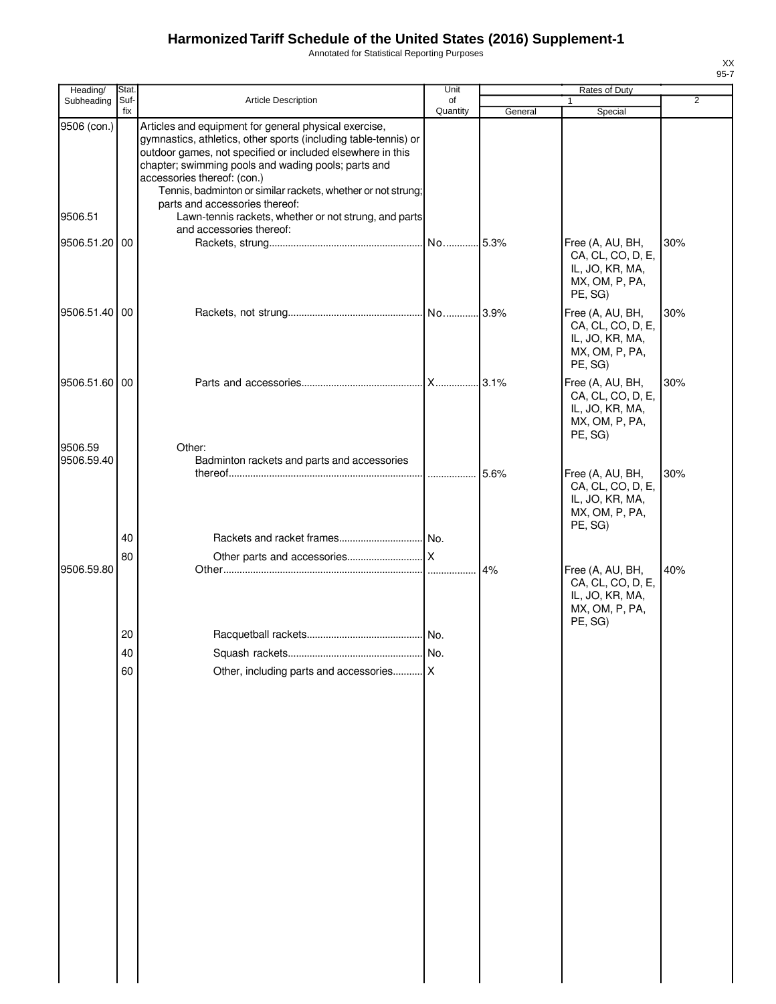Annotated for Statistical Reporting Purposes

| ۰.<br>۰, |  |
|----------|--|

| Heading/               | Stat.       |                                                                                                                                                                                                                                                                                                                                                                                                                                         | Unit           |         | Rates of Duty                                                                         |                |
|------------------------|-------------|-----------------------------------------------------------------------------------------------------------------------------------------------------------------------------------------------------------------------------------------------------------------------------------------------------------------------------------------------------------------------------------------------------------------------------------------|----------------|---------|---------------------------------------------------------------------------------------|----------------|
| Subheading             | Suf-<br>fix | Article Description                                                                                                                                                                                                                                                                                                                                                                                                                     | of<br>Quantity | General | 1<br>Special                                                                          | $\overline{2}$ |
| 9506 (con.)<br>9506.51 |             | Articles and equipment for general physical exercise,<br>gymnastics, athletics, other sports (including table-tennis) or<br>outdoor games, not specified or included elsewhere in this<br>chapter; swimming pools and wading pools; parts and<br>accessories thereof: (con.)<br>Tennis, badminton or similar rackets, whether or not strung;<br>parts and accessories thereof:<br>Lawn-tennis rackets, whether or not strung, and parts |                |         |                                                                                       |                |
|                        |             | and accessories thereof:                                                                                                                                                                                                                                                                                                                                                                                                                |                |         |                                                                                       |                |
| 9506.51.20 00          |             |                                                                                                                                                                                                                                                                                                                                                                                                                                         |                |         | Free (A, AU, BH,<br>CA, CL, CO, D, E,<br>IL, JO, KR, MA,<br>MX, OM, P, PA,<br>PE, SG) | 30%            |
| 9506.51.40 00          |             |                                                                                                                                                                                                                                                                                                                                                                                                                                         |                |         | Free (A, AU, BH,<br>CA, CL, CO, D, E,<br>IL, JO, KR, MA,<br>MX, OM, P, PA,<br>PE, SG) | 30%            |
| 9506.51.60 00          |             |                                                                                                                                                                                                                                                                                                                                                                                                                                         |                |         | Free (A, AU, BH,<br>CA, CL, CO, D, E,<br>IL, JO, KR, MA,<br>MX, OM, P, PA,<br>PE, SG) | 30%            |
| 9506.59<br>9506.59.40  |             | Other:<br>Badminton rackets and parts and accessories                                                                                                                                                                                                                                                                                                                                                                                   |                | 5.6%    | Free (A, AU, BH,<br>CA, CL, CO, D, E,<br>IL, JO, KR, MA,<br>MX, OM, P, PA,<br>PE, SG) | 30%            |
|                        | 40          |                                                                                                                                                                                                                                                                                                                                                                                                                                         |                |         |                                                                                       |                |
|                        | 80          |                                                                                                                                                                                                                                                                                                                                                                                                                                         |                |         |                                                                                       |                |
| 9506.59.80             |             |                                                                                                                                                                                                                                                                                                                                                                                                                                         |                | 4%      | Free (A, AU, BH,<br>CA, CL, CO, D, E,<br>IL, JO, KR, MA,<br>MX, OM, P, PA,<br>PE, SG) | 40%            |
|                        | 20          |                                                                                                                                                                                                                                                                                                                                                                                                                                         |                |         |                                                                                       |                |
|                        | 40          |                                                                                                                                                                                                                                                                                                                                                                                                                                         |                |         |                                                                                       |                |
|                        | 60          | Other, including parts and accessories X                                                                                                                                                                                                                                                                                                                                                                                                |                |         |                                                                                       |                |
|                        |             |                                                                                                                                                                                                                                                                                                                                                                                                                                         |                |         |                                                                                       |                |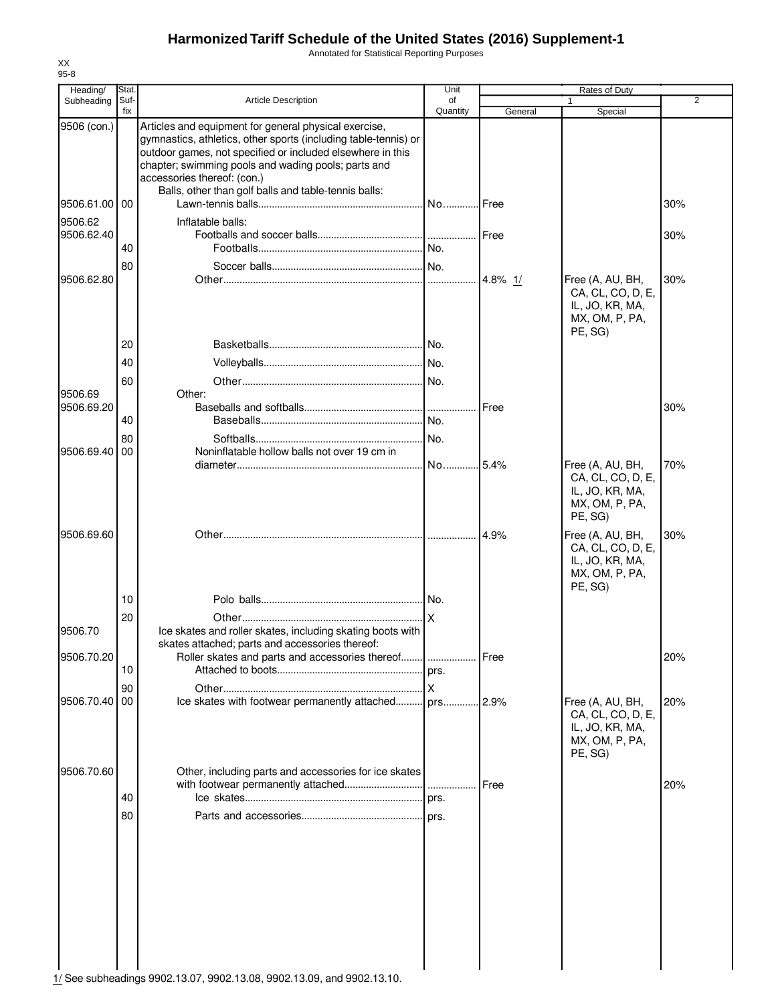Annotated for Statistical Reporting Purposes

| Heading/      | Stat.       |                                                                                                                                                                                                                                                                              | Unit                    |         | Rates of Duty                                                                         |                |
|---------------|-------------|------------------------------------------------------------------------------------------------------------------------------------------------------------------------------------------------------------------------------------------------------------------------------|-------------------------|---------|---------------------------------------------------------------------------------------|----------------|
| Subheading    | Suf-<br>fix | <b>Article Description</b>                                                                                                                                                                                                                                                   | of<br>Quantity          | General |                                                                                       | $\overline{2}$ |
| 9506 (con.)   |             | Articles and equipment for general physical exercise,<br>gymnastics, athletics, other sports (including table-tennis) or<br>outdoor games, not specified or included elsewhere in this<br>chapter; swimming pools and wading pools; parts and<br>accessories thereof: (con.) |                         |         | Special                                                                               |                |
| 9506.61.00 00 |             | Balls, other than golf balls and table-tennis balls:                                                                                                                                                                                                                         | NoIFree                 |         |                                                                                       | 30%            |
| 9506.62       |             | Inflatable balls:                                                                                                                                                                                                                                                            |                         |         |                                                                                       |                |
| 9506.62.40    | 40          |                                                                                                                                                                                                                                                                              | No.                     |         |                                                                                       | 30%            |
|               | 80          |                                                                                                                                                                                                                                                                              | No.                     |         |                                                                                       |                |
| 9506.62.80    |             |                                                                                                                                                                                                                                                                              |                         |         | Free (A, AU, BH,<br>CA, CL, CO, D, E,<br>IL, JO, KR, MA,<br>MX, OM, P, PA,<br>PE, SG) | 30%            |
|               | 20          |                                                                                                                                                                                                                                                                              |                         |         |                                                                                       |                |
|               | 40          |                                                                                                                                                                                                                                                                              |                         |         |                                                                                       |                |
|               | 60          |                                                                                                                                                                                                                                                                              | No.                     |         |                                                                                       |                |
| 9506.69       |             | Other:                                                                                                                                                                                                                                                                       |                         |         |                                                                                       |                |
| 9506.69.20    | 40          |                                                                                                                                                                                                                                                                              |                         | Free    |                                                                                       | 30%            |
|               | 80          |                                                                                                                                                                                                                                                                              | No.                     |         |                                                                                       |                |
| 9506.69.40    | 00          | Noninflatable hollow balls not over 19 cm in                                                                                                                                                                                                                                 |                         |         |                                                                                       |                |
|               |             |                                                                                                                                                                                                                                                                              | No                      | .5.4%   | Free (A, AU, BH,<br>CA, CL, CO, D, E,<br>IL, JO, KR, MA,<br>MX, OM, P, PA,<br>PE, SG) | 70%            |
| 9506.69.60    |             |                                                                                                                                                                                                                                                                              |                         | 14.9%   | Free (A, AU, BH,<br>CA, CL, CO, D, E,<br>IL, JO, KR, MA,<br>MX, OM, P, PA,<br>PE, SG) | 30%            |
|               | 10          |                                                                                                                                                                                                                                                                              |                         |         |                                                                                       |                |
|               | 20          |                                                                                                                                                                                                                                                                              | .lx                     |         |                                                                                       |                |
| 9506.70       |             | Ice skates and roller skates, including skating boots with<br>skates attached; parts and accessories thereof:                                                                                                                                                                |                         |         |                                                                                       |                |
| 9506.70.20    |             | Roller skates and parts and accessories thereof  Free                                                                                                                                                                                                                        |                         |         |                                                                                       | 20%            |
|               | 10          |                                                                                                                                                                                                                                                                              | prs.                    |         |                                                                                       |                |
| 9506.70.40    | 90<br>00    | lce skates with footwear permanently attached prs 2.9%                                                                                                                                                                                                                       | $\overline{\mathsf{x}}$ |         | Free (A, AU, BH,<br>CA, CL, CO, D, E,<br>IL, JO, KR, MA,<br>MX, OM, P, PA,            | 20%            |
| 9506.70.60    | 40          | Other, including parts and accessories for ice skates                                                                                                                                                                                                                        |                         | Free    | PE, SG)                                                                               | 20%            |
|               | 80          |                                                                                                                                                                                                                                                                              |                         |         |                                                                                       |                |

XX 95-8

1/ See subheadings 9902.13.07, 9902.13.08, 9902.13.09, and 9902.13.10.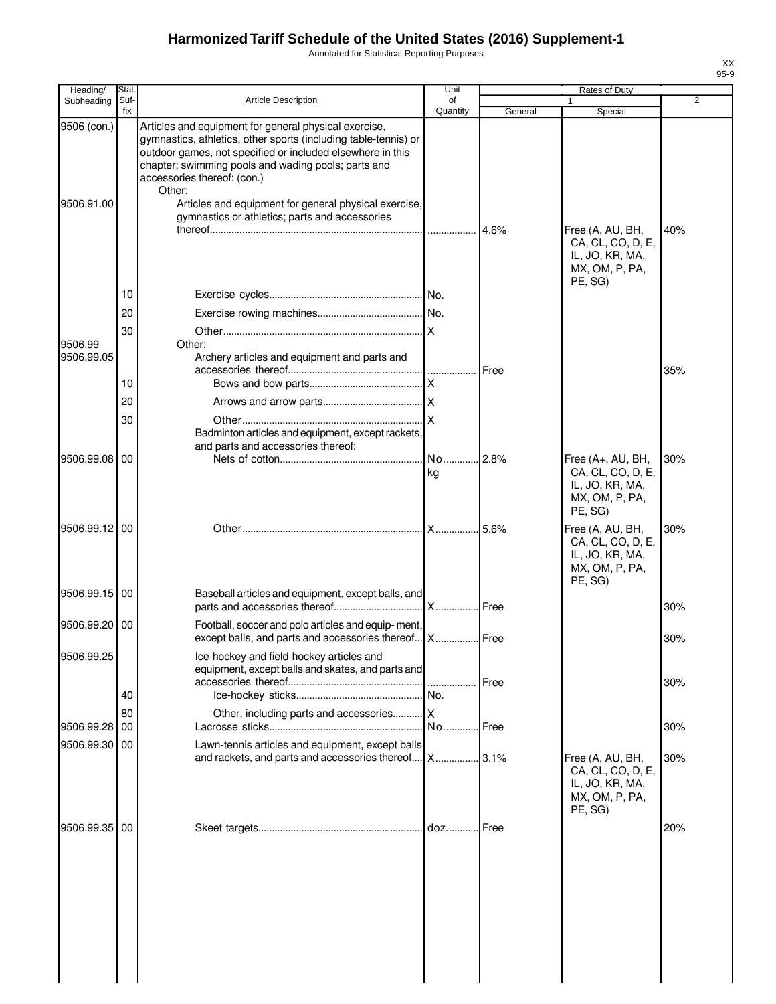Annotated for Statistical Reporting Purposes

| Heading/              | Stat.       |                                                                                                                                                                                                                                                                                        | Unit           |         | Rates of Duty                                                                          |                |
|-----------------------|-------------|----------------------------------------------------------------------------------------------------------------------------------------------------------------------------------------------------------------------------------------------------------------------------------------|----------------|---------|----------------------------------------------------------------------------------------|----------------|
| Subheading            | Suf-<br>fix | Article Description                                                                                                                                                                                                                                                                    | of<br>Quantity | General | Special                                                                                | $\overline{2}$ |
| 9506 (con.)           |             | Articles and equipment for general physical exercise,<br>gymnastics, athletics, other sports (including table-tennis) or<br>outdoor games, not specified or included elsewhere in this<br>chapter; swimming pools and wading pools; parts and<br>accessories thereof: (con.)<br>Other: |                |         |                                                                                        |                |
| 9506.91.00            |             | Articles and equipment for general physical exercise,<br>gymnastics or athletics; parts and accessories                                                                                                                                                                                |                | 4.6%    | Free (A, AU, BH,<br>CA, CL, CO, D, E,<br>IL, JO, KR, MA,<br>MX, OM, P, PA,             | 40%            |
|                       | 10          |                                                                                                                                                                                                                                                                                        |                |         | PE, SG)                                                                                |                |
|                       | 20          |                                                                                                                                                                                                                                                                                        |                |         |                                                                                        |                |
|                       | 30          |                                                                                                                                                                                                                                                                                        |                |         |                                                                                        |                |
| 9506.99<br>9506.99.05 |             | Other:<br>Archery articles and equipment and parts and                                                                                                                                                                                                                                 |                | Free    |                                                                                        | 35%            |
|                       | 10          |                                                                                                                                                                                                                                                                                        |                |         |                                                                                        |                |
|                       | 20          |                                                                                                                                                                                                                                                                                        |                |         |                                                                                        |                |
|                       | 30          | Badminton articles and equipment, except rackets,<br>and parts and accessories thereof:                                                                                                                                                                                                |                |         |                                                                                        |                |
| 9506.99.08 00         |             |                                                                                                                                                                                                                                                                                        | No<br>kg       | 2.8%    | Free (A+, AU, BH,<br>CA, CL, CO, D, E,<br>IL, JO, KR, MA,<br>MX, OM, P, PA,<br>PE, SG) | 30%            |
| 9506.99.12 00         |             |                                                                                                                                                                                                                                                                                        | X              | 5.6%    | Free (A, AU, BH,<br>CA, CL, CO, D, E,<br>IL, JO, KR, MA,<br>MX, OM, P, PA,<br>PE, SG)  | 30%            |
| 9506.99.15 00         |             | Baseball articles and equipment, except balls, and                                                                                                                                                                                                                                     |                |         |                                                                                        | 30%            |
| 9506.99.20            | 00          | Football, soccer and polo articles and equip-ment,<br>except balls, and parts and accessories thereof   X   Free                                                                                                                                                                       |                |         |                                                                                        | 30%            |
| 9506.99.25            |             | Ice-hockey and field-hockey articles and<br>equipment, except balls and skates, and parts and                                                                                                                                                                                          | .              | Free    |                                                                                        | 30%            |
|                       | 40          |                                                                                                                                                                                                                                                                                        |                |         |                                                                                        |                |
|                       | 80          | Other, including parts and accessories X                                                                                                                                                                                                                                               |                |         |                                                                                        |                |
| 9506.99.28            | 00          |                                                                                                                                                                                                                                                                                        | No.            | Free    |                                                                                        | 30%            |
| 9506.99.30            | 00          | Lawn-tennis articles and equipment, except balls<br>and rackets, and parts and accessories thereof                                                                                                                                                                                     |                |         | Free (A, AU, BH,<br>CA, CL, CO, D, E,<br>IL, JO, KR, MA,<br>MX, OM, P, PA,<br>PE, SG)  | 30%            |
| 9506.99.35            | 00          |                                                                                                                                                                                                                                                                                        |                |         |                                                                                        | 20%            |
|                       |             |                                                                                                                                                                                                                                                                                        |                |         |                                                                                        |                |

XX 95-9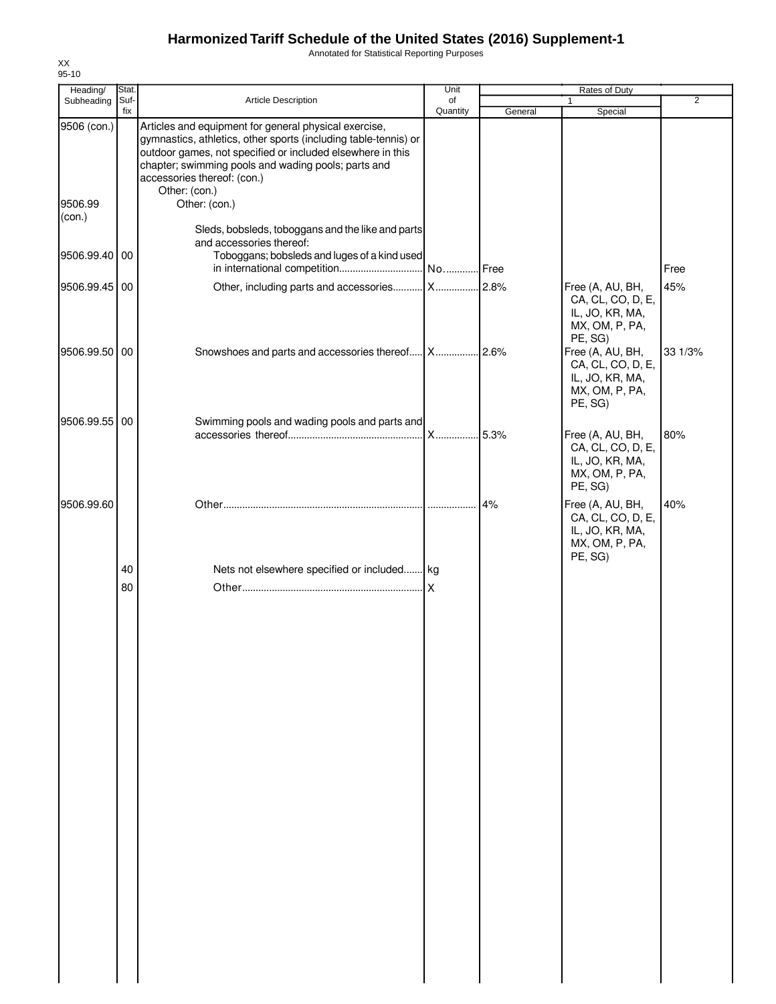Annotated for Statistical Reporting Purposes

| Heading/                         | Stat.       |                                                                                                                                                                                                                                                                                                                | Unit           |         | Rates of Duty                                                                         |                |
|----------------------------------|-------------|----------------------------------------------------------------------------------------------------------------------------------------------------------------------------------------------------------------------------------------------------------------------------------------------------------------|----------------|---------|---------------------------------------------------------------------------------------|----------------|
| Subheading                       | Suf-<br>fix | <b>Article Description</b>                                                                                                                                                                                                                                                                                     | of<br>Quantity | General | 1<br>Special                                                                          | $\overline{2}$ |
| 9506 (con.)<br>9506.99<br>(con.) |             | Articles and equipment for general physical exercise,<br>gymnastics, athletics, other sports (including table-tennis) or<br>outdoor games, not specified or included elsewhere in this<br>chapter; swimming pools and wading pools; parts and<br>accessories thereof: (con.)<br>Other: (con.)<br>Other: (con.) |                |         |                                                                                       |                |
| 9506.99.40 00                    |             | Sleds, bobsleds, toboggans and the like and parts<br>and accessories thereof:<br>Toboggans; bobsleds and luges of a kind used                                                                                                                                                                                  |                |         |                                                                                       | Free           |
| 9506.99.45 00                    |             | Other, including parts and accessories X                                                                                                                                                                                                                                                                       |                | .2.8%   | Free (A, AU, BH,<br>CA, CL, CO, D, E,<br>IL, JO, KR, MA,<br>MX, OM, P, PA,<br>PE, SG) | 45%            |
| 9506.99.50 00                    |             |                                                                                                                                                                                                                                                                                                                |                |         | Free (A, AU, BH,<br>CA, CL, CO, D, E,<br>IL, JO, KR, MA,<br>MX, OM, P, PA,<br>PE, SG) | 33 1/3%        |
| 9506.99.55 00                    |             | Swimming pools and wading pools and parts and                                                                                                                                                                                                                                                                  |                |         |                                                                                       |                |
|                                  |             |                                                                                                                                                                                                                                                                                                                |                | .5.3%   | Free (A, AU, BH,<br>CA, CL, CO, D, E,<br>IL, JO, KR, MA,<br>MX, OM, P, PA,<br>PE, SG) | 80%            |
| 9506.99.60                       |             |                                                                                                                                                                                                                                                                                                                |                | 4%      | Free (A, AU, BH,<br>CA, CL, CO, D, E,<br>IL, JO, KR, MA,<br>MX, OM, P, PA,<br>PE, SG) | 40%            |
|                                  | 40          | Nets not elsewhere specified or included kg                                                                                                                                                                                                                                                                    |                |         |                                                                                       |                |
|                                  | 80          |                                                                                                                                                                                                                                                                                                                |                |         |                                                                                       |                |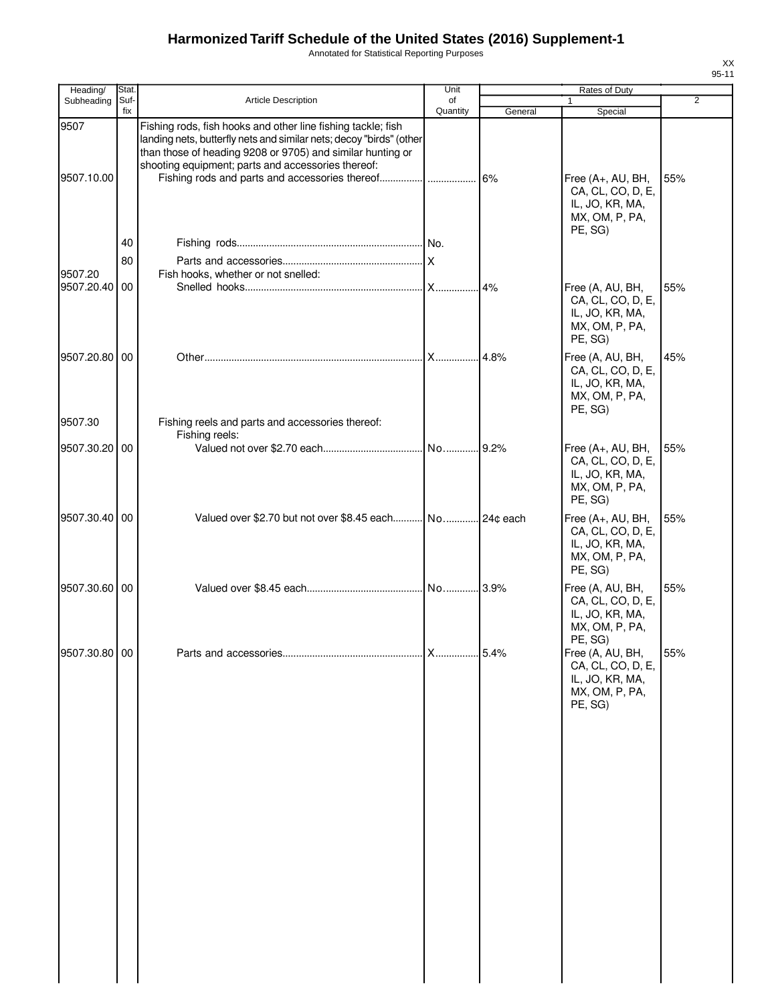Annotated for Statistical Reporting Purposes

| Heading/                 | Stat.       |                                                                                                                                                                                                                                                         | Unit           |         | Rates of Duty                                                                          |                |
|--------------------------|-------------|---------------------------------------------------------------------------------------------------------------------------------------------------------------------------------------------------------------------------------------------------------|----------------|---------|----------------------------------------------------------------------------------------|----------------|
| Subheading               | Suf-<br>fix | <b>Article Description</b>                                                                                                                                                                                                                              | of<br>Quantity | General | 1<br>Special                                                                           | $\overline{2}$ |
| 9507<br>9507.10.00       |             | Fishing rods, fish hooks and other line fishing tackle; fish<br>landing nets, butterfly nets and similar nets; decoy "birds" (other<br>than those of heading 9208 or 9705) and similar hunting or<br>shooting equipment; parts and accessories thereof: |                | 6%      | Free (A+, AU, BH,<br>CA, CL, CO, D, E,<br>IL, JO, KR, MA,<br>MX, OM, P, PA,<br>PE, SG) | 55%            |
|                          | 40          |                                                                                                                                                                                                                                                         |                |         |                                                                                        |                |
|                          | 80          |                                                                                                                                                                                                                                                         |                |         |                                                                                        |                |
| 9507.20<br>9507.20.40 00 |             | Fish hooks, whether or not snelled:                                                                                                                                                                                                                     |                | 4%      | Free (A, AU, BH,<br>CA, CL, CO, D, E,<br>IL, JO, KR, MA,<br>MX, OM, P, PA,<br>PE, SG)  | 55%            |
| 9507.20.80 00            |             |                                                                                                                                                                                                                                                         |                |         | Free (A, AU, BH,<br>CA, CL, CO, D, E,<br>IL, JO, KR, MA,<br>MX, OM, P, PA,<br>PE, SG)  | 45%            |
| 9507.30                  |             | Fishing reels and parts and accessories thereof:<br>Fishing reels:                                                                                                                                                                                      |                |         |                                                                                        |                |
| 9507.30.20               | 00          |                                                                                                                                                                                                                                                         |                |         | Free (A+, AU, BH,<br>CA, CL, CO, D, E,<br>IL, JO, KR, MA,<br>MX, OM, P, PA,<br>PE, SG) | 55%            |
| 9507.30.40 00            |             | Valued over \$2.70 but not over \$8.45 each No 24¢ each                                                                                                                                                                                                 |                |         | Free (A+, AU, BH,<br>CA, CL, CO, D, E,<br>IL, JO, KR, MA,<br>MX, OM, P, PA,<br>PE, SG) | 55%            |
| 9507.30.60 00            |             |                                                                                                                                                                                                                                                         |                |         | Free (A, AU, BH,<br>CA, CL, CO, D, E,<br>IL, JO, KR, MA,<br>MX, OM, P, PA,<br>PE, SG)  | 55%            |
| 9507.30.80 00            |             |                                                                                                                                                                                                                                                         |                |         | Free (A, AU, BH,<br>CA, CL, CO, D, E,<br>IL, JO, KR, MA,<br>MX, OM, P, PA,<br>PE, SG)  | 55%            |
|                          |             |                                                                                                                                                                                                                                                         |                |         |                                                                                        |                |